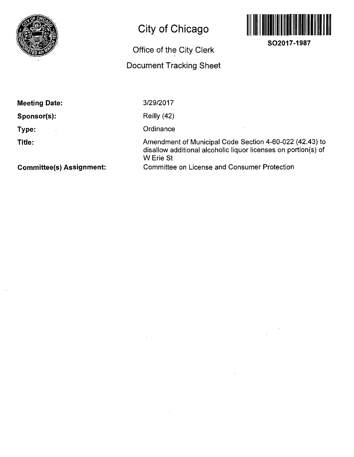

# **City of Chicago**

## **Office of the City Clerk**

## **Document Tracking Sheet**



**SO2017-1987** 

| <b>Meeting Date:</b> | 3 |
|----------------------|---|
| Sponsor(s):          |   |
| Type:<br>×           |   |

**Title:** 

3/29/2017

Reilly (42)

Ordinance

Amendment of Municipal Code Section 4-60-022 (42.43) to disallow additional alcoholic liquor licenses on portion(s) of W Erie St Committee on License and Consumer Protection

**Committee(s) Assignment:**